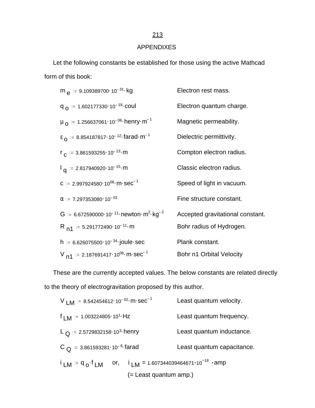# APPENDIXES

 Let the following constants be established for those using the active Mathcad form of this book:

| m $\alpha$ = 9.109389700 · 10 <sup>-31</sup> · kg                    | Electron rest mass.              |
|----------------------------------------------------------------------|----------------------------------|
| $q_{\Omega}$ = 1.602177330 10 <sup>-19</sup> coul                    | Electron quantum charge.         |
| $\mu_{\Omega}$ = 1.256637061.10 <sup>-06</sup> henry m <sup>-1</sup> | Magnetic permeability.           |
| $\epsilon_0$ = 8.854187817.10 <sup>-12</sup> farad m <sup>-1</sup>   | Dielectric permittivity.         |
| $r_c = 3.861593255 \cdot 10^{-13} \cdot m$                           | Compton electron radius.         |
| $I_{\alpha}$ = 2.817940920 10 <sup>-15</sup> m                       | Classic electron radius.         |
| $C = 2.997924580 \cdot 10^{08} \cdot m \cdot \text{sec}^{-1}$        | Speed of light in vacuum.        |
| $\alpha$ = 7.297353080 10 <sup>-03</sup>                             | Fine structure constant.         |
| $G = 6.672590000 \cdot 10^{-11}$ newton $m^2$ kg <sup>-2</sup>       | Accepted gravitational constant. |
| R <sub>n1</sub> = 5.291772490 · 10 <sup>-11</sup> · m                | Bohr radius of Hydrogen.         |
| $h = 6.626075500 \cdot 10^{-34}$ joule sec                           | Plank constant.                  |
| $V_{n1}$ = 2.187691417 · 10 <sup>06</sup> · m · sec <sup>-1</sup>    | Bohr n1 Orbital Velocity         |

 These are the currently accepted values. The below constants are related directly to the theory of electrogravitation proposed by this author.

| V LM = 8.542454612.10 <sup>-02</sup> m. sec <sup>-1</sup> | Least quantum velocity.                                                                 |  |
|-----------------------------------------------------------|-----------------------------------------------------------------------------------------|--|
| $f_{LM}$ = 1.003224805 · 10 <sup>1</sup> · Hz             | Least quantum frequency.                                                                |  |
| L $\Omega$ = 2.5729832158 10 <sup>3</sup> henry           | Least quantum inductance.                                                               |  |
| C $\Omega$ = 3.861593281.10 <sup>-6</sup> farad           | Least quantum capacitance.                                                              |  |
|                                                           | $i$ LM = $q_o$ f LM or, $i_{1 \text{ M}}$ = 1.607344039464671 · 10 <sup>-18</sup> · amp |  |
|                                                           | (= Least quantum amp.)                                                                  |  |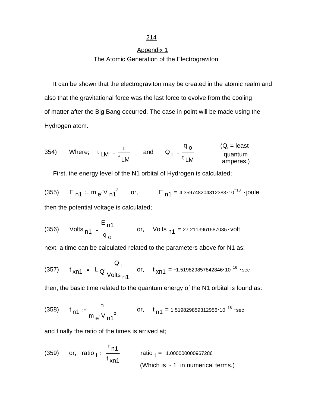# Appendix 1 The Atomic Generation of the Electrograviton

 It can be shown that the electrograviton may be created in the atomic realm and also that the gravitational force was the last force to evolve from the cooling of matter after the Big Bang occurred. The case in point will be made using the Hydrogen atom.

354) Where; 
$$
t_{LM} = \frac{1}{f_{LM}}
$$
 and  $Q_i = \frac{q_0}{t_{LM}}$  (Q<sub>i</sub> = least  
quantum  
amperes.)

First, the energy level of the N1 orbital of Hydrogen is calculated;

(355)  $E_{n1} = m_e \cdot V_{n1}^2$  or,  $E_{n1} = 4.359748204312383 \cdot 10^{-18}$  joule then the potential voltage is calculated;

(356) Volts 
$$
_{n1} = \frac{E_{n1}}{q_o}
$$
 or, Volts  $_{n1} = 27.2113961587035 \cdot volt$ 

next, a time can be calculated related to the parameters above for N1 as:

(357) 
$$
t_{xn1} = -L_Q \frac{Q_i}{Volts_{n1}}
$$
 or,  $t_{xn1} = -1.519829857842846 \cdot 10^{-16}$  sec

then, the basic time related to the quantum energy of the N1 orbital is found as:

(358) 
$$
t_{n1} = \frac{h}{m_e \cdot V_{n1}^2}
$$
 or,  $t_{n1} = 1.519829859312956 \cdot 10^{-16} \cdot \text{sec}$ 

and finally the ratio of the times is arrived at;

(359) or, ratio 
$$
t = \frac{t_{n1}}{t_{xn1}}
$$
 ratio  $t = -1.000000000967286$   
(Which is ~ 1 in numerical terms.)

### 214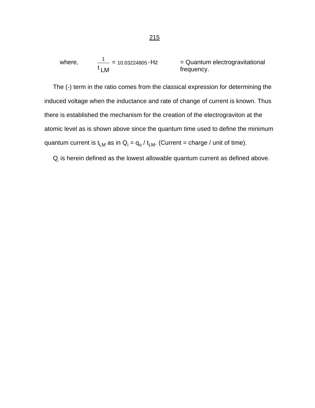where, 
$$
\frac{1}{t_{LM}}
$$
 = 10.03224805·Hz = Quantum electrogravitational frequency.

 The (-) term in the ratio comes from the classical expression for determining the induced voltage when the inductance and rate of change of current is known. Thus there is established the mechanism for the creation of the electrograviton at the atomic level as is shown above since the quantum time used to define the minimum quantum current is t<sub>LM</sub> as in Q<sub>i</sub> = q<sub>o</sub> / t<sub>LM</sub>. (Current = charge / unit of time).

 $Q_i$  is herein defined as the lowest allowable quantum current as defined above.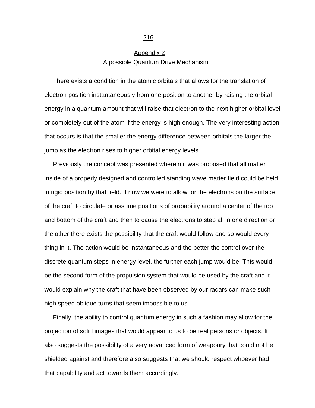# Appendix 2 A possible Quantum Drive Mechanism

 There exists a condition in the atomic orbitals that allows for the translation of electron position instantaneously from one position to another by raising the orbital energy in a quantum amount that will raise that electron to the next higher orbital level or completely out of the atom if the energy is high enough. The very interesting action that occurs is that the smaller the energy difference between orbitals the larger the jump as the electron rises to higher orbital energy levels.

 Previously the concept was presented wherein it was proposed that all matter inside of a properly designed and controlled standing wave matter field could be held in rigid position by that field. If now we were to allow for the electrons on the surface of the craft to circulate or assume positions of probability around a center of the top and bottom of the craft and then to cause the electrons to step all in one direction or the other there exists the possibility that the craft would follow and so would everything in it. The action would be instantaneous and the better the control over the discrete quantum steps in energy level, the further each jump would be. This would be the second form of the propulsion system that would be used by the craft and it would explain why the craft that have been observed by our radars can make such high speed oblique turns that seem impossible to us.

 Finally, the ability to control quantum energy in such a fashion may allow for the projection of solid images that would appear to us to be real persons or objects. It also suggests the possibility of a very advanced form of weaponry that could not be shielded against and therefore also suggests that we should respect whoever had that capability and act towards them accordingly.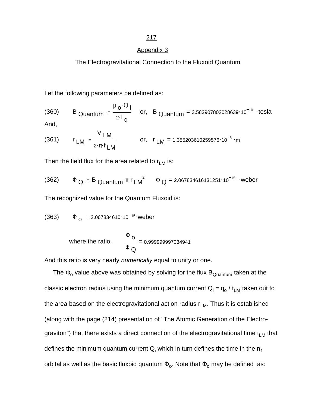### Appendix 3

The Electrogravitational Connection to the Fluxoid Quantum

Let the following parameters be defined as:

(360) B<sub>Quantum</sub> = 
$$
\frac{\mu_0 \cdot Q_i}{2 \cdot 1_q}
$$
 or, B<sub>Quantum</sub> = 3.583907802028639·10<sup>-10</sup> · tesla

And,

(361) 
$$
r_{LM} = \frac{V_{LM}}{2 \cdot \pi \cdot f_{LM}}
$$
 or,  $r_{LM} = 1.355203610259576 \cdot 10^{-3} \cdot m$ 

Then the field flux for the area related to  $r_{LM}$  is:

(362) 
$$
\Phi_{Q} = B_{\text{Quantum}} \cdot \pi \cdot r_{LM}^{2}
$$
  $\Phi_{Q} = 2.067834616131251 \cdot 10^{-15}$   $\cdot$   $\text{weber}$ 

The recognized value for the Quantum Fluxoid is:

$$
(363) \qquad \Phi_{\mathbf{0}} = 2.067834610 \cdot 10^{-15} \text{.} \text{weber}
$$

where the ratio: 
$$
\frac{\Phi_{\mathbf{O}}}{\Phi_{\mathbf{Q}}}=0.99999997034941
$$

And this ratio is very nearly *numerically* equal to unity or one.

The  $\Phi_{\rm o}$  value above was obtained by solving for the flux  $\mathsf{B}_{\mathsf{Quantum}}$  taken at the classic electron radius using the minimum quantum current  $\mathsf{Q}_\mathsf{i}$  =  $\mathsf{q}_\mathsf{o}$  /  $\mathsf{t}_\mathsf{LM}$  taken out to the area based on the electrogravitational action radius  $r_{LM}$ . Thus it is established (along with the page (214) presentation of "The Atomic Generation of the Electrograviton") that there exists a direct connection of the electrogravitational time  $t_{LM}$  that defines the minimum quantum current  $\mathsf{Q}_\mathsf{i}$  which in turn defines the time in the  $\mathsf{n}_1$ orbital as well as the basic fluxoid quantum  $\Phi_{\rm o}.$  Note that  $\Phi_{\rm o}$  may be defined as: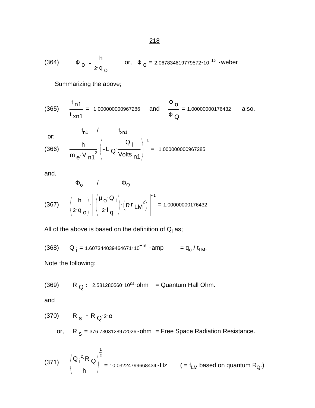(364) 
$$
\Phi_0 = \frac{h}{2 \cdot q_0}
$$
 or,  $\Phi_0 = 2.067834619779572 \cdot 10^{-15}$   $\cdot$   $\text{weber}$ 

Summarizing the above;

(365) 
$$
\frac{t_{n1}}{t_{xn1}} = -1.000000000967286
$$
 and  $\frac{\Phi_0}{\Phi_Q} = 1.00000000176432$  also.

$$
\mathsf{or};
$$

or;  
\n(a) 66  
\n
$$
\frac{h}{m e \cdot V n1^{2}} \left(-L \frac{Q_{i}}{\text{Volts } n1}\right)^{-1} = -1.000000000967285
$$

and,

$$
\Phi_{o} \qquad \qquad \Phi_{Q}
$$
\n
$$
(367) \qquad \left(\frac{h}{2 \cdot q_{o}}\right) \cdot \left[\left(\frac{\mu_{o} \cdot Q_{i}}{2 \cdot 1_{q}}\right) \cdot \left(\pi \cdot r_{LM}^{2}\right)\right]^{-1} = 1.00000000176432
$$

All of the above is based on the definition of  $\mathsf{Q}_\mathsf{i}$  as;

$$
(368) \qquad Q_{i} = 1.607344039464671 \cdot 10^{-18} \cdot \text{amp} \qquad = q_{o} / t_{LM}.
$$

Note the following:

(369) R Q . . 2.581280560 <sup>10</sup><sup>04</sup> ohm = Quantum Hall Ohm.

and

$$
(370) \qquad R_S := R_Q \cdot 2 \cdot \alpha
$$

or,  $R$  <sub>S</sub> = 376.7303128972026 $\cdot$ ohm  $=$  Free Space Radiation Resistance.

(371) 
$$
\left(\frac{Q_i^2 \cdot R_Q}{h}\right)^{\frac{1}{2}} = 10.03224799668434 \cdot Hz
$$
 (= f<sub>LM</sub> based on quantum R<sub>Q</sub>.)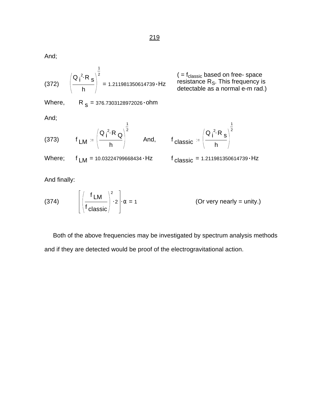And;

$$
(372) \qquad \left(\frac{Q_1^2 \cdot R_S}{h}\right)^{\frac{1}{2}} = 1.211981350614739 \cdot Hz
$$

 $($  =  $f_{\text{classic}}$  based on free- space resistance  $R_S$ . This frequency is detectable as a normal e-m rad.)

> 1 2

Where,  $R_s = 376.7303128972026 \cdot ohm$ 

And;

$$
(373) \t f_{LM} = \left(\frac{Q_i^2 \cdot R_Q}{h}\right)^2
$$
 And,

And, f<sub>classic</sub>  $Q_i^2$ ·R<sub>s</sub> h

Where;  $f_{LM}$  = 10.03224799668434 · Hz f classic

$$
_{\text{classic}} = 1.211981350614739 \cdot Hz
$$

And finally:

(374) 
$$
\left[ \left( \frac{f L M}{f_{\text{classic}}} \right)^2 \cdot 2 \right] \cdot \alpha = 1
$$
 (Or very nearly = unity.)

1

 Both of the above frequencies may be investigated by spectrum analysis methods and if they are detected would be proof of the electrogravitational action.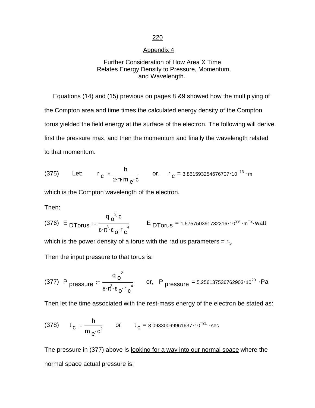### Appendix 4

### Further Consideration of How Area X Time Relates Energy Density to Pressure, Momentum, and Wavelength.

 Equations (14) and (15) previous on pages 8 &9 showed how the multiplying of the Compton area and time times the calculated energy density of the Compton torus yielded the field energy at the surface of the electron. The following will derive first the pressure max. and then the momentum and finally the wavelength related to that momentum.

(375) Let: 
$$
r_c = \frac{h}{2 \cdot \pi \cdot m_e c}
$$
 or,  $r_c = 3.861593254676707 \cdot 10^{-13} \cdot m$ 

which is the Compton wavelength of the electron.

Then:

(376) E 
$$
\text{DTorus} = \frac{q_0^2 \cdot c}{8 \cdot \pi^3 \cdot \epsilon_0 \cdot r_0^4}
$$
 E  $\text{DTorus} = 1.575750391732216 \cdot 10^{29} \cdot m^{-2} \cdot \text{watt}$ 

which is the power density of a torus with the radius parameters =  $\rm r_{c}.$ 

Then the input pressure to that torus is:

(377) P pressure = 
$$
\frac{q_0^2}{8 \cdot \pi^3 \cdot \epsilon_0 \cdot r_c^4}
$$
 or, P pressure = 5.256137536762903·10<sup>20</sup> · Pa

Then let the time associated with the rest-mass energy of the electron be stated as:

(378) 
$$
t_c = \frac{h}{m_e \cdot c^2}
$$
 or  $t_c = 8.09330099961637 \cdot 10^{-21}$  sec

The pressure in (377) above is looking for a way into our normal space where the normal space actual pressure is: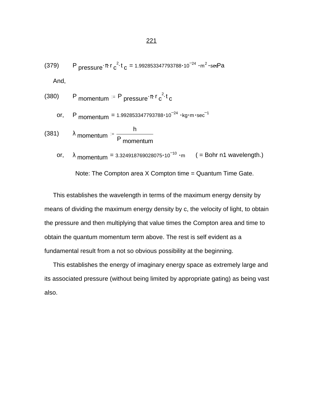(379) <sup>P</sup> . . . <sup>=</sup> pressure <sup>π</sup> <sup>r</sup> c 2 t c 1.992853347793788 10 <sup>24</sup> m 2 secPa And,

(380) P momentum = P pressure 
$$
\pi r c^2 t
$$

or, P 
$$
momentum = 1.992853347793788 \cdot 10^{-24} \cdot kg \cdot m \cdot sec^{-1}
$$

(381) 
$$
\lambda
$$
 momentum  $=$   $\frac{h}{P}$  momentum

or,  $\lambda$  momentum = 3.324918769028075 $\cdot$ 10<sup>-10</sup> ·m (= Bohr n1 wavelength.)

Note: The Compton area X Compton time = Quantum Time Gate.

 This establishes the wavelength in terms of the maximum energy density by means of dividing the maximum energy density by c, the velocity of light, to obtain the pressure and then multiplying that value times the Compton area and time to obtain the quantum momentum term above. The rest is self evident as a fundamental result from a not so obvious possibility at the beginning.

 This establishes the energy of imaginary energy space as extremely large and its associated pressure (without being limited by appropriate gating) as being vast also.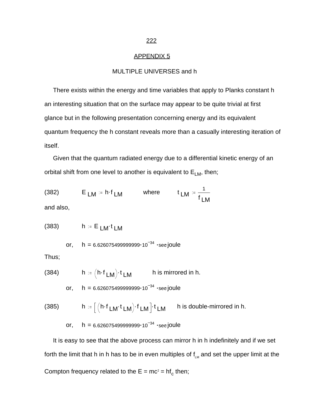### APPENDIX 5

### MULTIPLE UNIVERSES and h

 There exists within the energy and time variables that apply to Planks constant h an interesting situation that on the surface may appear to be quite trivial at first glance but in the following presentation concerning energy and its equivalent quantum frequency the h constant reveals more than a casually interesting iteration of itself.

 Given that the quantum radiated energy due to a differential kinetic energy of an orbital shift from one level to another is equivalent to  $E_{LM}$ , then;

(382) 
$$
E_{LM} = h \cdot f_{LM} \quad \text{where} \quad t_{LM} = \frac{1}{f_{LM}}
$$

and also,

$$
(383) \qquad \qquad h := E_{LM}t_{LM}
$$

or,  $h = 6.626075499999999 \cdot 10^{-34}$  sec joule

Thus;

(384) 
$$
h := \left(h \cdot f_{LM}\right) \cdot t_{LM} \qquad h \text{ is mirrored in } h.
$$

or,  $h = 6.626075499999999 \cdot 10^{-34}$  sec joule

(385) 
$$
h := \left[ \left( h \cdot f_{LM} \cdot t_{LM} \right) \cdot f_{LM} \right] \cdot t_{LM} \quad h \text{ is double-mirrored in } h.
$$

or, 
$$
h = 6.626075499999999 \cdot 10^{-34} \cdot \sec \text{joule}
$$

 It is easy to see that the above process can mirror h in h indefinitely and if we set forth the limit that h in h has to be in even multiples of  $f_{LM}$  and set the upper limit at the Compton frequency related to the  $E = mc^2 = hf_c$  then;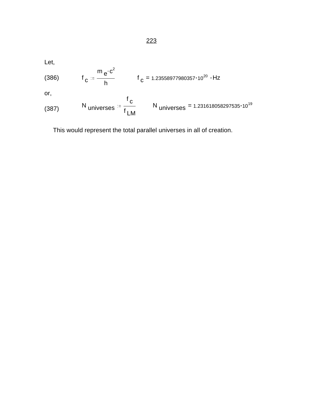Let,

(386) 
$$
f_C := \frac{m e^{c^2}}{h}
$$
  $f_C = 1.23558977980357 \cdot 10^{20} \cdot Hz$   
or,

(387) N universes = 
$$
\frac{f_c}{f_{LM}}
$$
 N universes = 1.231618058297535·10<sup>19</sup>

This would represent the total parallel universes in all of creation.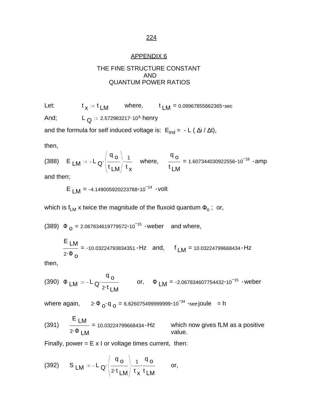### APPENDIX 6

### THE FINE STRUCTURE CONSTANT AND QUANTUM POWER RATIOS

Let:  $x = t$  LM where,  $t$  LM = 0.09967855662365 $\cdot$ sec And;  $L_{\Omega} = 2.572983217 \cdot 10^{3}$  henry

and the formula for self induced voltage is:  $E_{ind} = -L (\Delta i / \Delta t)$ ,

then,

(388) E  $LM = -L_Q \left( \frac{4L}{L} \right)$ . q o t LM 1 t x where,  $\frac{6}{1}$  = q o t LM 1.607344030922556 $\cdot$ 10<sup>-18</sup> ·amp

and then;

E  $_M = -4.149005920223788 \cdot 10^{-14}$  · volt

which is f $_{\sf LM}$  x twice the magnitude of the fluxoid quantum  $\Phi_{\sf o}$  ;  $\,$  or,

(389)  $\Phi_{Q} = 2.067834619779572 \cdot 10^{-15}$  weber and where,

$$
\frac{E_{LM}}{2 \cdot \Phi_0} = -10.03224793834351 \cdot Hz \quad \text{and,} \quad f_{LM} = 10.03224799668434 \cdot Hz
$$

then,

(390) 
$$
\Phi
$$
 LM  ${}^{:=}$  - L  $Q \cdot \frac{q_0}{2 \cdot t}$  or,  $\Phi$  LM = -2.067834607754432·10<sup>-15</sup> · weber

where again,  $2 \cdot \Phi_{\mathbf{O}} \cdot \mathbf{q}_{\mathbf{O}} = 6.626075499999999 \cdot 10^{-34} \cdot \sec \, \text{joule } = \mathsf{h}$ 

(391) 
$$
\frac{E \text{ LM}}{2. \Phi \text{ LM}} = 10.03224799668434 \cdot Hz \text{ which now gives fLM as a positive value.}
$$

Finally, power =  $E \times I$  or voltage times current, then:

(392) 
$$
S_{LM} = -L_Q \left( \frac{q_o}{2 \cdot t_{LM}} \right) \cdot \frac{1}{t_x} \cdot \frac{q_o}{t_{LM}}
$$
 or,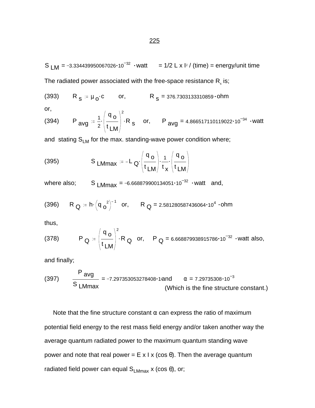S  $LM = -3.334439950067026 \cdot 10^{-32}$  · watt = 1/2 L x l<sup>2</sup> / (time) = energy/unit time The radiated power associated with the free-space resistance  $\mathsf{R}_\mathsf{s}^{}$  is;

(393) 
$$
R_s = \mu_0 \cdot c
$$
 or,  $R_s = 376.7303133310859 \cdot ohm$ 

or,

(394) P<sub>avg</sub> := 
$$
\frac{1}{2} \left( \frac{q_0}{t_{LM}} \right)^2
$$
 R<sub>s</sub> or, P<sub>avg</sub> = 4.866517110119022·10<sup>-34</sup> ·watt

and stating  $S_{LM}$  for the max. standing-wave power condition where;

(395) 
$$
S_{L M max} := -L_Q \cdot \left(\frac{q_o}{t_{LM}}\right) \cdot \frac{1}{t_x} \cdot \left(\frac{q_o}{t_{LM}}\right)
$$

where also; S  $_{LMmax}$  = -6.668879900134051 $\cdot$ 10<sup>-32</sup>  $\cdot$  watt and,

(396) R<sub>Q</sub> := h
$$
\cdot
$$
  $\left(\frac{q}{o^2}\right)^{-1}$  or, R<sub>Q</sub> = 2.581280587436064 $\cdot$ 10<sup>4</sup>  $\cdot$  ohm

thus,

(378) 
$$
P_Q := \left(\frac{q_o}{t_{LM}}\right)^2 \cdot R_Q
$$
 or,  $P_Q = 6.668879938915786 \cdot 10^{-32}$   $\cdot$  watt also,

and finally;

(397) 
$$
\frac{P_{avg}}{S_{LMmax}} = -7.297353053278408 \cdot 1 \text{ and } \alpha = 7.29735308 \cdot 10^{-3}
$$
 (Which is the fine structure constant.)

Note that the fine structure constant  $\alpha$  can express the ratio of maximum potential field energy to the rest mass field energy and/or taken another way the average quantum radiated power to the maximum quantum standing wave power and note that real power = E x I x (cos θ). Then the average quantum radiated field power can equal  $S_{LMmax}$  x (cos  $\theta$ ), or;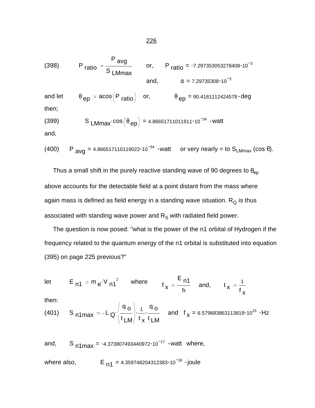$$
\underline{\mathbf{226}}
$$

(398) P ratio = 
$$
\frac{P}{S}
$$
 L Mmax  
and,  $P$  ratio = -7.297353053278408·10<sup>-3</sup>  
 $\alpha$  = 7.29735308·10<sup>-3</sup>

and let  $\theta_{ep} = \arccos(P_{ratio})$  or,  $\theta_{ep} = 90.4181112424579 \cdot deg$ then;

(399) 
$$
S_{LMmax} \cdot \cos(\theta_{ep}) = 4.86651711011911 \cdot 10^{-34} \cdot \text{watt}
$$

and,

(400) P<sub>avg</sub> = 4.866517110119022·10<sup>-34</sup> ·watt or very nearly = to S<sub>LMmax</sub> (cos 
$$
\theta
$$
).

Thus a small shift in the purely reactive standing wave of 90 degrees to  $\theta_{ep}$ above accounts for the detectable field at a point distant from the mass where again mass is defined as field energy in a standing wave situation.  $R_Q$  is thus associated with standing wave power and  $\mathsf{R}_\mathsf{S}$  with radiated field power.

 The question is now posed: "what is the power of the n1 orbital of Hydrogen if the frequency related to the quantum energy of the n1 orbital is substituted into equation (395) on page 225 previous?"

$$
\mathsf{let} \qquad \mathsf{E}_{n1} := \mathsf{m}_{e} \cdot \mathsf{V}_{n1}^2 \qquad \text{where} \qquad \mathsf{f}_{\mathsf{X}} := \frac{\mathsf{E}_{n1}}{\mathsf{h}} \quad \text{and,} \qquad \mathsf{t}_{\mathsf{X}} := \frac{\mathsf{1}}{\mathsf{f}_{\mathsf{X}}}
$$

then:

(401) S<sub>n1max</sub> := -L<sub>Q'</sub> 
$$
\left(\frac{q_o}{t_{LM}}\right) \cdot \frac{1}{t_x} \cdot \frac{q_o}{t_{LM}}
$$
 and  $f_x = 6.579683863113819 \cdot 10^{15} \cdot Hz$ 

and, S  $_{n1max}$  = -4.373807493440972 $\cdot$ 10<sup>-17</sup>  $\cdot$ watt where, where also,  $E_{n1} = 4.359748204312383 \cdot 10^{-18}$  ·joule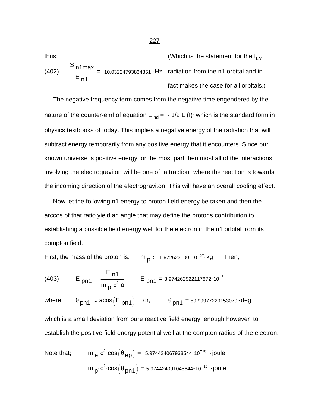thus;  
\n
$$
(402) \quad \frac{S_{n1max}}{E_{n1}} = -10.03224793834351 \cdot Hz \quad radiation from the n1 orbital and in\nfact makes the case for all orbitals.)
$$

 The negative frequency term comes from the negative time engendered by the nature of the counter-emf of equation  $E_{ind}$  =  $\,$  - 1/2 L (I)<sup>2</sup> which is the standard form in physics textbooks of today. This implies a negative energy of the radiation that will subtract energy temporarily from any positive energy that it encounters. Since our known universe is positive energy for the most part then most all of the interactions involving the electrograviton will be one of "attraction" where the reaction is towards the incoming direction of the electrograviton. This will have an overall cooling effect.

 Now let the following n1 energy to proton field energy be taken and then the arccos of that ratio yield an angle that may define the protons contribution to establishing a possible field energy well for the electron in the n1 orbital from its compton field.

First, the mass of the proton is: m  $_{\mathsf{p}}$  := 1.672623100 10<sup>-27</sup> kg Then,

(403) 
$$
E_{pn1} = \frac{E_{n1}}{m_{p}c^{2} \alpha} \qquad E_{pn1} = 3.974262522117872 \cdot 10^{-6}
$$

where,  $\theta_{pn1} = \arccos(E_{pn1})$  or,  $\theta_{pn1} = 89.99977229153079 \cdot deg$ 

which is a small deviation from pure reactive field energy, enough however to establish the positive field energy potential well at the compton radius of the electron.

Note that; 
$$
m_e \cdot c^2 \cdot \cos(\theta_{ep}) = -5.974424067938544 \cdot 10^{-16}
$$
  $\cdot$  joule  
\n $m_p \cdot c^2 \cdot \cos(\theta_{pn1}) = 5.974424091045644 \cdot 10^{-16}$   $\cdot$  joule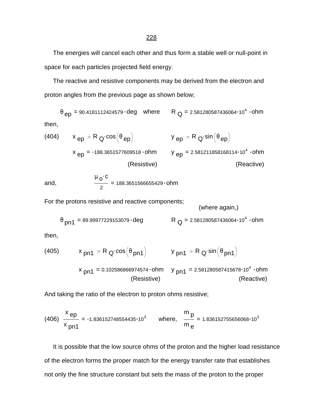The energies will cancel each other and thus form a stable well or null-point in space for each particles projected field energy.

 The reactive and resistive components may be derived from the electron and proton angles from the previous page as shown below;

 $\theta$  <sub>ep</sub> = 90.4181112424579  $\cdot$  deg  $\;\;$  where  $\;\;\;$  R  $_{\rm Q}$  = 2.581280587436064 $\cdot$ 10 $^4$   $\cdot$  ohm then,

(404) 
$$
x_{ep} = R_Q \cdot \cos(\theta_{ep})
$$
  $y_{ep} = R_Q \cdot \sin(\theta_{ep})$   
\n $x_{ep} = -188.3651577609518 \cdot ohm$   $y_{ep} = 2.581211858168114 \cdot 10^4 \cdot ohm$   
\n(Resistive) (Resistive)

and, 
$$
\frac{\mu_0 \cdot c}{2} = 188.3651566655429 \cdot ohm
$$

For the protons resistive and reactive components;

(where again,)

$$
\theta_{pn1} = 89.99977229153079 \cdot deg
$$
\n
$$
R_Q = 2.581280587436064 \cdot 10^4 \cdot ohm
$$

then,

(405) 
$$
x_{pn1} = R_Q \cos(\theta_{pn1})
$$
  $y_{pn1} = R_Q \sin(\theta_{pn1})$   
\n $x_{pn1} = 0.102586866974574 \cdot ohm$   $y_{pn1} = 2.581280587415678 \cdot 10^4 \cdot ohm$   
\n(Resistive) (Reactive)

And taking the ratio of the electron to proton ohms resistive;

(406) 
$$
\frac{x_{ep}}{x_{pn1}} = -1.836152748554435 \cdot 10^3
$$
 where,  $\frac{m_p}{m_e} = 1.836152755656068 \cdot 10^3$ 

 It is possible that the low source ohms of the proton and the higher load resistance of the electron forms the proper match for the energy transfer rate that establishes not only the fine structure constant but sets the mass of the proton to the proper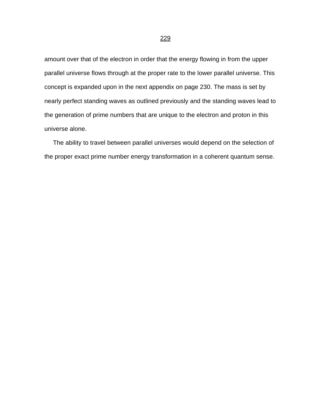amount over that of the electron in order that the energy flowing in from the upper parallel universe flows through at the proper rate to the lower parallel universe. This concept is expanded upon in the next appendix on page 230. The mass is set by nearly perfect standing waves as outlined previously and the standing waves lead to the generation of prime numbers that are unique to the electron and proton in this universe alone.

 The ability to travel between parallel universes would depend on the selection of the proper exact prime number energy transformation in a coherent quantum sense.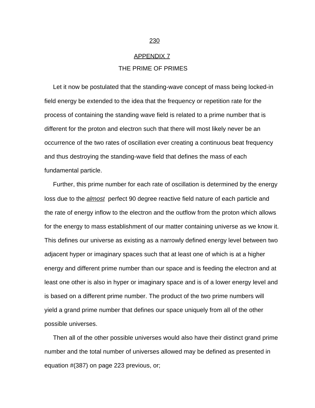#### APPENDIX 7

### THE PRIME OF PRIMES

 Let it now be postulated that the standing-wave concept of mass being locked-in field energy be extended to the idea that the frequency or repetition rate for the process of containing the standing wave field is related to a prime number that is different for the proton and electron such that there will most likely never be an occurrence of the two rates of oscillation ever creating a continuous beat frequency and thus destroying the standing-wave field that defines the mass of each fundamental particle.

 Further, this prime number for each rate of oscillation is determined by the energy loss due to the *almost* perfect 90 degree reactive field nature of each particle and the rate of energy inflow to the electron and the outflow from the proton which allows for the energy to mass establishment of our matter containing universe as we know it. This defines our universe as existing as a narrowly defined energy level between two adjacent hyper or imaginary spaces such that at least one of which is at a higher energy and different prime number than our space and is feeding the electron and at least one other is also in hyper or imaginary space and is of a lower energy level and is based on a different prime number. The product of the two prime numbers will yield a grand prime number that defines our space uniquely from all of the other possible universes.

 Then all of the other possible universes would also have their distinct grand prime number and the total number of universes allowed may be defined as presented in equation #(387) on page 223 previous, or;

#### 230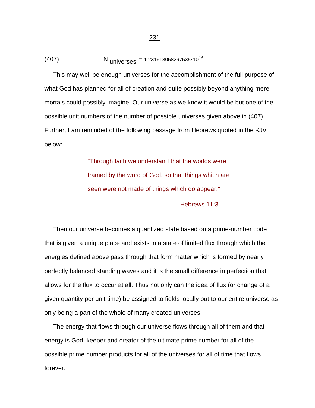$$
(407) \t\t Nuniverses = 1.231618058297535 \cdot 1019
$$

 This may well be enough universes for the accomplishment of the full purpose of what God has planned for all of creation and quite possibly beyond anything mere mortals could possibly imagine. Our universe as we know it would be but one of the possible unit numbers of the number of possible universes given above in (407). Further, I am reminded of the following passage from Hebrews quoted in the KJV below:

> "Through faith we understand that the worlds were framed by the word of God, so that things which are seen were not made of things which do appear." Hebrews 11:3

 Then our universe becomes a quantized state based on a prime-number code that is given a unique place and exists in a state of limited flux through which the energies defined above pass through that form matter which is formed by nearly perfectly balanced standing waves and it is the small difference in perfection that allows for the flux to occur at all. Thus not only can the idea of flux (or change of a given quantity per unit time) be assigned to fields locally but to our entire universe as only being a part of the whole of many created universes.

 The energy that flows through our universe flows through all of them and that energy is God, keeper and creator of the ultimate prime number for all of the possible prime number products for all of the universes for all of time that flows forever.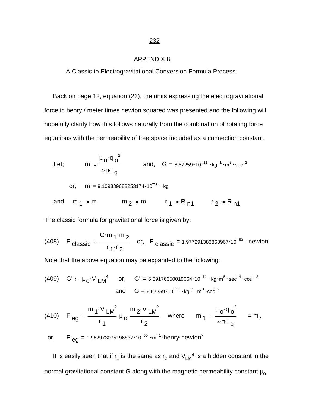#### APPENDIX 8

### A Classic to Electrogravitational Conversion Formula Process

 Back on page 12, equation (23), the units expressing the electrogravitational force in henry / meter times newton squared was presented and the following will hopefully clarify how this follows naturally from the combination of rotating force equations with the permeability of free space included as a connection constant.

Let; 
$$
m := \frac{\mu_0 q_0^2}{4 \cdot \pi q}
$$
 and,  $G = 6.67259 \cdot 10^{-11} \cdot kg^{-1} \cdot m^3 \cdot sec^{-2}$   
\nor,  $m = 9.109389688253174 \cdot 10^{-31} \cdot kg$   
\nand,  $m_1 := m$   $m_2 := m$   $r_1 := R_{n1}$   $r_2 := R_{n1}$ 

The classic formula for gravitational force is given by:

(408) F classic = 
$$
\frac{G \cdot m_1 \cdot m_2}{r_1 \cdot r_2}
$$
 or, F classic = 1.977291383868967·10<sup>-50</sup> -newton

Note that the above equation may be expanded to the following:

(409) G' := 
$$
\mu_0 \cdot V
$$
 LM<sup>4</sup> or, G' = 6.69176350019664·10<sup>-11</sup> ·kg·m<sup>5</sup>·sec<sup>-4</sup>·coul<sup>-2</sup>  
and G = 6.67259·10<sup>-11</sup> ·kg<sup>-1</sup> ·m<sup>3</sup>·sec<sup>-2</sup>

(410) 
$$
F_{eg} = \frac{m_1 \cdot V_{LM}^2}{r_1} \cdot \mu_0 \cdot \frac{m_2 \cdot V_{LM}^2}{r_2}
$$
 where  $m_1 = \frac{\mu_0 \cdot q_0^2}{4 \cdot \pi \cdot l_q} = m_e$ 

or, 
$$
F_{eg} = 1.982973075196837 \cdot 10^{-50} \cdot m^{-1} \cdot henry\cdot newton^2
$$

It is easily seen that if  $r_1$  is the same as  $r_2$  and  $V_{LM}^4$  is a hidden constant in the normal gravitational constant G along with the magnetic permeability constant  $\mu_0$ 

#### 232